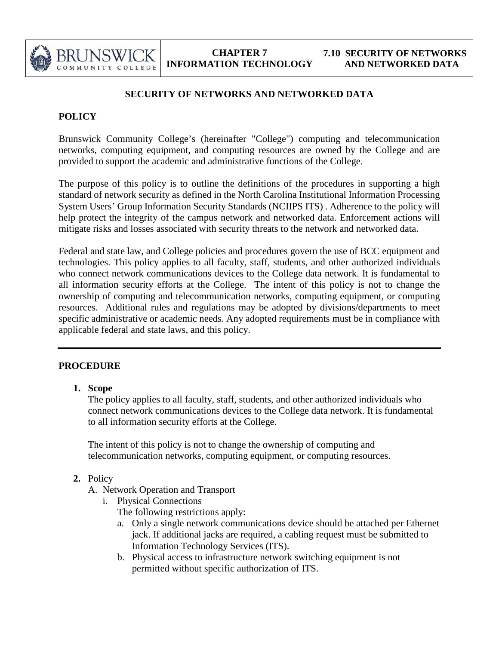

## **SECURITY OF NETWORKS AND NETWORKED DATA**

# **POLICY**

Brunswick Community College's (hereinafter "College") computing and telecommunication networks, computing equipment, and computing resources are owned by the College and are provided to support the academic and administrative functions of the College.

The purpose of this policy is to outline the definitions of the procedures in supporting a high standard of network security as defined in the North Carolina Institutional Information Processing System Users' Group Information Security Standards (NCIIPS ITS) . Adherence to the policy will help protect the integrity of the campus network and networked data. Enforcement actions will mitigate risks and losses associated with security threats to the network and networked data.

Federal and state law, and College policies and procedures govern the use of BCC equipment and technologies. This policy applies to all faculty, staff, students, and other authorized individuals who connect network communications devices to the College data network. It is fundamental to all information security efforts at the College. The intent of this policy is not to change the ownership of computing and telecommunication networks, computing equipment, or computing resources. Additional rules and regulations may be adopted by divisions/departments to meet specific administrative or academic needs. Any adopted requirements must be in compliance with applicable federal and state laws, and this policy.

## **PROCEDURE**

**1. Scope**

The policy applies to all faculty, staff, students, and other authorized individuals who connect network communications devices to the College data network. It is fundamental to all information security efforts at the College.

The intent of this policy is not to change the ownership of computing and telecommunication networks, computing equipment, or computing resources.

- **2.** Policy
	- A. Network Operation and Transport
		- i. Physical Connections

The following restrictions apply:

- a. Only a single network communications device should be attached per Ethernet jack. If additional jacks are required, a cabling request must be submitted to Information Technology Services (ITS).
- b. Physical access to infrastructure network switching equipment is not permitted without specific authorization of ITS.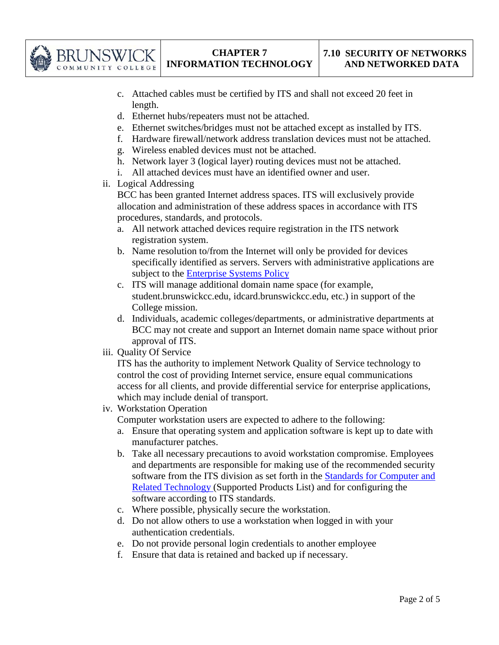

- c. Attached cables must be certified by ITS and shall not exceed 20 feet in length.
- d. Ethernet hubs/repeaters must not be attached.
- e. Ethernet switches/bridges must not be attached except as installed by ITS.
- f. Hardware firewall/network address translation devices must not be attached.
- g. Wireless enabled devices must not be attached.
- h. Network layer 3 (logical layer) routing devices must not be attached.
- i. All attached devices must have an identified owner and user.
- ii. Logical Addressing

BCC has been granted Internet address spaces. ITS will exclusively provide allocation and administration of these address spaces in accordance with ITS procedures, standards, and protocols.

- a. All network attached devices require registration in the ITS network registration system.
- b. Name resolution to/from the Internet will only be provided for devices specifically identified as servers. Servers with administrative applications are subject to the Enterprise Systems Policy
- c. ITS will manage additional domain name space (for example, student.brunswickcc.edu, idcard.brunswickcc.edu, etc.) in support of the College mission.
- d. Individuals, academic colleges/departments, or administrative departments at BCC may not create and support an Internet domain name space without prior approval of ITS.
- iii. Quality Of Service

ITS has the authority to implement Network Quality of Service technology to control the cost of providing Internet service, ensure equal communications access for all clients, and provide differential service for enterprise applications, which may include denial of transport.

iv. Workstation Operation

Computer workstation users are expected to adhere to the following:

- a. Ensure that operating system and application software is kept up to date with manufacturer patches.
- b. Take all necessary precautions to avoid workstation compromise. Employees and departments are responsible for making use of the recommended security software from the ITS division as set forth in the Standards for Computer and Related Technology (Supported Products List) and for configuring the software according to ITS standards.
- c. Where possible, physically secure the workstation.
- d. Do not allow others to use a workstation when logged in with your authentication credentials.
- e. Do not provide personal login credentials to another employee
- f. Ensure that data is retained and backed up if necessary.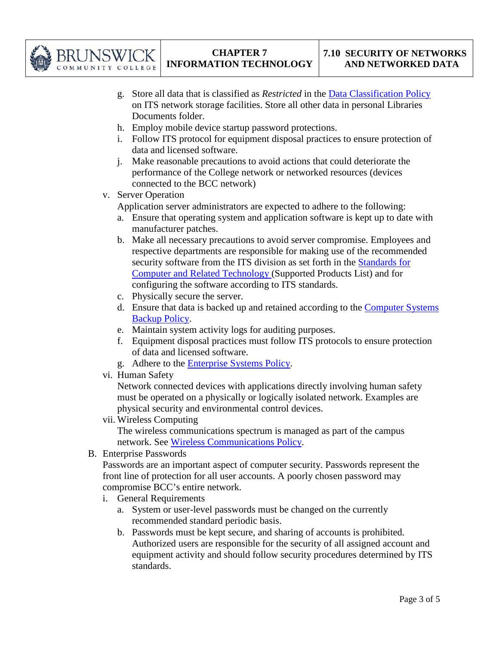

- g. Store all data that is classified as *Restricted* in the Data Classification Policy on ITS network storage facilities. Store all other data in personal Libraries Documents folder.
- h. Employ mobile device startup password protections.
- i. Follow ITS protocol for equipment disposal practices to ensure protection of data and licensed software.
- j. Make reasonable precautions to avoid actions that could deteriorate the performance of the College network or networked resources (devices connected to the BCC network)
- v. Server Operation

Application server administrators are expected to adhere to the following:

- a. Ensure that operating system and application software is kept up to date with manufacturer patches.
- b. Make all necessary precautions to avoid server compromise. Employees and respective departments are responsible for making use of the recommended security software from the ITS division as set forth in the **Standards for** Computer and Related Technology (Supported Products List) and for configuring the software according to ITS standards.
- c. Physically secure the server.
- d. Ensure that data is backed up and retained according to the Computer Systems Backup Policy.
- e. Maintain system activity logs for auditing purposes.
- f. Equipment disposal practices must follow ITS protocols to ensure protection of data and licensed software.
- g. Adhere to the Enterprise Systems Policy.
- vi. Human Safety

Network connected devices with applications directly involving human safety must be operated on a physically or logically isolated network. Examples are physical security and environmental control devices.

vii. Wireless Computing

The wireless communications spectrum is managed as part of the campus network. See Wireless Communications Policy.

B. Enterprise Passwords

Passwords are an important aspect of computer security. Passwords represent the front line of protection for all user accounts. A poorly chosen password may compromise BCC's entire network.

- i. General Requirements
	- a. System or user-level passwords must be changed on the currently recommended standard periodic basis.
	- b. Passwords must be kept secure, and sharing of accounts is prohibited. Authorized users are responsible for the security of all assigned account and equipment activity and should follow security procedures determined by ITS standards.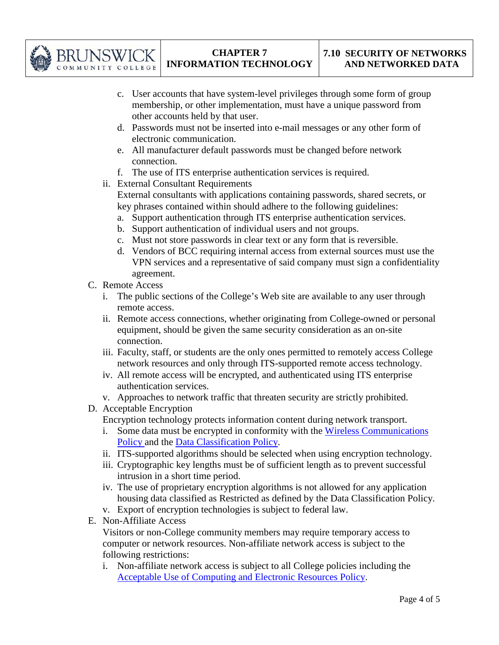

- c. User accounts that have system-level privileges through some form of group membership, or other implementation, must have a unique password from other accounts held by that user.
- d. Passwords must not be inserted into e-mail messages or any other form of electronic communication.
- e. All manufacturer default passwords must be changed before network connection.
- f. The use of ITS enterprise authentication services is required.
- ii. External Consultant Requirements External consultants with applications containing passwords, shared secrets, or key phrases contained within should adhere to the following guidelines:
	- a. Support authentication through ITS enterprise authentication services.
	- b. Support authentication of individual users and not groups.
	- c. Must not store passwords in clear text or any form that is reversible.
	- d. Vendors of BCC requiring internal access from external sources must use the VPN services and a representative of said company must sign a confidentiality agreement.
- C. Remote Access
	- i. The public sections of the College's Web site are available to any user through remote access.
	- ii. Remote access connections, whether originating from College-owned or personal equipment, should be given the same security consideration as an on-site connection.
	- iii. Faculty, staff, or students are the only ones permitted to remotely access College network resources and only through ITS-supported remote access technology.
	- iv. All remote access will be encrypted, and authenticated using ITS enterprise authentication services.
	- v. Approaches to network traffic that threaten security are strictly prohibited.
- D. Acceptable Encryption
	- Encryption technology protects information content during network transport.
	- i. Some data must be encrypted in conformity with the Wireless Communications Policy and the Data Classification Policy.
	- ii. ITS-supported algorithms should be selected when using encryption technology.
	- iii. Cryptographic key lengths must be of sufficient length as to prevent successful intrusion in a short time period.
	- iv. The use of proprietary encryption algorithms is not allowed for any application housing data classified as Restricted as defined by the Data Classification Policy.
	- v. Export of encryption technologies is subject to federal law.
- E. Non-Affiliate Access

Visitors or non-College community members may require temporary access to computer or network resources. Non-affiliate network access is subject to the following restrictions:

i. Non-affiliate network access is subject to all College policies including the Acceptable Use of Computing and Electronic Resources Policy.